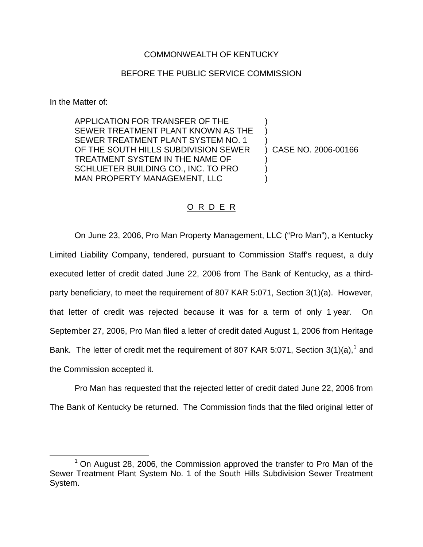## COMMONWEALTH OF KENTUCKY

## BEFORE THE PUBLIC SERVICE COMMISSION

In the Matter of:

APPLICATION FOR TRANSFER OF THE SEWER TREATMENT PLANT KNOWN AS THE SEWER TREATMENT PLANT SYSTEM NO. 1 OF THE SOUTH HILLS SUBDIVISION SEWER TREATMENT SYSTEM IN THE NAME OF SCHLUETER BUILDING CO., INC. TO PRO MAN PROPERTY MANAGEMENT, LLC

) CASE NO. 2006-00166

) ) )

) ) )

## O R D E R

On June 23, 2006, Pro Man Property Management, LLC ("Pro Man"), a Kentucky Limited Liability Company, tendered, pursuant to Commission Staff's request, a duly executed letter of credit dated June 22, 2006 from The Bank of Kentucky, as a thirdparty beneficiary, to meet the requirement of 807 KAR 5:071, Section 3(1)(a). However, that letter of credit was rejected because it was for a term of only 1 year. On September 27, 2006, Pro Man filed a letter of credit dated August 1, 2006 from Heritage Bank. The letter of credit met the requirement of 807 KAR 5:071, Section  $3(1)(a)$ , and the Commission accepted it.

Pro Man has requested that the rejected letter of credit dated June 22, 2006 from The Bank of Kentucky be returned. The Commission finds that the filed original letter of

 $1$  On August 28, 2006, the Commission approved the transfer to Pro Man of the Sewer Treatment Plant System No. 1 of the South Hills Subdivision Sewer Treatment System.